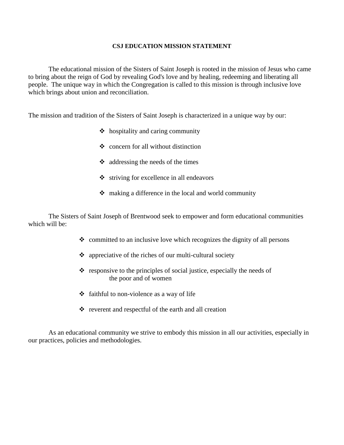### **CSJ EDUCATION MISSION STATEMENT**

The educational mission of the Sisters of Saint Joseph is rooted in the mission of Jesus who came to bring about the reign of God by revealing God's love and by healing, redeeming and liberating all people. The unique way in which the Congregation is called to this mission is through inclusive love which brings about union and reconciliation.

The mission and tradition of the Sisters of Saint Joseph is characterized in a unique way by our:

- $\triangleleft$  hospitality and caring community
- $\div$  concern for all without distinction
- $\triangleleft$  addressing the needs of the times
- $\bullet$  striving for excellence in all endeavors
- $\cdot \cdot$  making a difference in the local and world community

The Sisters of Saint Joseph of Brentwood seek to empower and form educational communities which will be:

- $\triangleleft$  committed to an inclusive love which recognizes the dignity of all persons
- $\triangleleft$  appreciative of the riches of our multi-cultural society
- $\triangle$  responsive to the principles of social justice, especially the needs of the poor and of women
- $\triangleleft$  faithful to non-violence as a way of life
- $\div$  reverent and respectful of the earth and all creation

As an educational community we strive to embody this mission in all our activities, especially in our practices, policies and methodologies.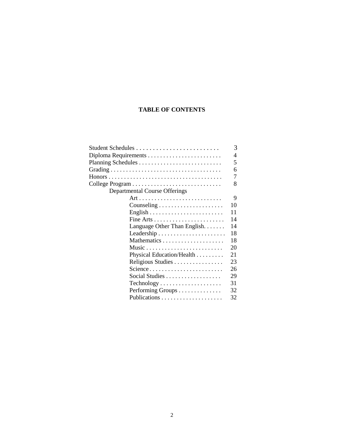### **TABLE OF CONTENTS**

|                                                               | 5  |  |  |
|---------------------------------------------------------------|----|--|--|
|                                                               | 6  |  |  |
|                                                               | 7  |  |  |
|                                                               | 8  |  |  |
| Departmental Course Offerings                                 |    |  |  |
|                                                               | 9  |  |  |
| $\text{Counseling} \dots \dots \dots \dots \dots \dots \dots$ | 10 |  |  |
|                                                               | 11 |  |  |
|                                                               | 14 |  |  |
| Language Other Than English. $\dots$ .                        | 14 |  |  |
|                                                               | 18 |  |  |
|                                                               | 18 |  |  |
| Music                                                         | 20 |  |  |
| Physical Education/Health                                     | 21 |  |  |
| Religious Studies                                             | 23 |  |  |
| Science                                                       | 26 |  |  |
| Social Studies                                                | 29 |  |  |
| $Technology \ldots \ldots \ldots \ldots \ldots \ldots$        | 31 |  |  |
| Performing Groups                                             | 32 |  |  |
|                                                               | 32 |  |  |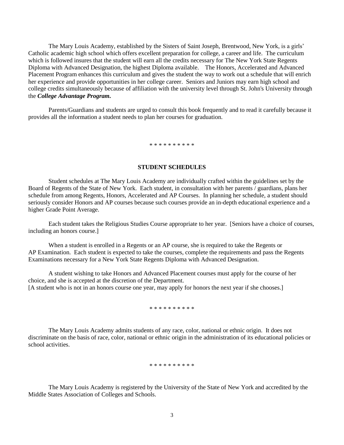The Mary Louis Academy, established by the Sisters of Saint Joseph, Brentwood, New York, is a girls' Catholic academic high school which offers excellent preparation for college, a career and life. The curriculum which is followed insures that the student will earn all the credits necessary for The New York State Regents Diploma with Advanced Designation, the highest Diploma available. The Honors, Accelerated and Advanced Placement Program enhances this curriculum and gives the student the way to work out a schedule that will enrich her experience and provide opportunities in her college career. Seniors and Juniors may earn high school and college credits simultaneously because of affiliation with the university level through St. John's University through the *College Advantage Program.*

Parents/Guardians and students are urged to consult this book frequently and to read it carefully because it provides all the information a student needs to plan her courses for graduation.

\* \* \* \* \* \* \* \* \* \*

### **STUDENT SCHEDULES**

Student schedules at The Mary Louis Academy are individually crafted within the guidelines set by the Board of Regents of the State of New York. Each student, in consultation with her parents / guardians, plans her schedule from among Regents, Honors, Accelerated and AP Courses. In planning her schedule, a student should seriously consider Honors and AP courses because such courses provide an in-depth educational experience and a higher Grade Point Average.

Each student takes the Religious Studies Course appropriate to her year. [Seniors have a choice of courses, including an honors course.]

When a student is enrolled in a Regents or an AP course, she is required to take the Regents or AP Examination. Each student is expected to take the courses, complete the requirements and pass the Regents Examinations necessary for a New York State Regents Diploma with Advanced Designation.

A student wishing to take Honors and Advanced Placement courses must apply for the course of her choice, and she is accepted at the discretion of the Department. [A student who is not in an honors course one year, may apply for honors the next year if she chooses.]

\* \* \* \* \* \* \* \* \* \*

The Mary Louis Academy admits students of any race, color, national or ethnic origin. It does not discriminate on the basis of race, color, national or ethnic origin in the administration of its educational policies or school activities.

\* \* \* \* \* \* \* \* \* \*

The Mary Louis Academy is registered by the University of the State of New York and accredited by the Middle States Association of Colleges and Schools.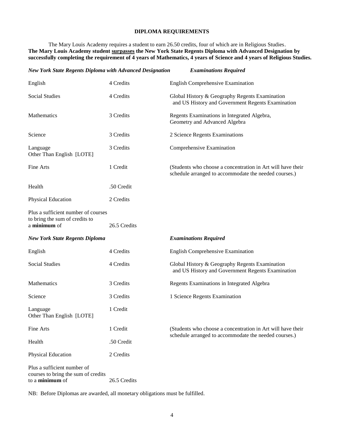### **DIPLOMA REQUIREMENTS**

The Mary Louis Academy requires a student to earn 26.50 credits, four of which are in Religious Studies. **The Mary Louis Academy student surpasses the New York State Regents Diploma with Advanced Designation by successfully completing the requirement of 4 years of Mathematics, 4 years of Science and 4 years of Religious Studies.**

| <b>New York State Regents Diploma with Advanced Designation</b>                       |              | <b>Examinations Required</b>                                                                                         |
|---------------------------------------------------------------------------------------|--------------|----------------------------------------------------------------------------------------------------------------------|
| English                                                                               | 4 Credits    | <b>English Comprehensive Examination</b>                                                                             |
| <b>Social Studies</b>                                                                 | 4 Credits    | Global History & Geography Regents Examination<br>and US History and Government Regents Examination                  |
| Mathematics                                                                           | 3 Credits    | Regents Examinations in Integrated Algebra,<br>Geometry and Advanced Algebra                                         |
| Science                                                                               | 3 Credits    | 2 Science Regents Examinations                                                                                       |
| Language<br>Other Than English [LOTE]                                                 | 3 Credits    | Comprehensive Examination                                                                                            |
| Fine Arts                                                                             | 1 Credit     | (Students who choose a concentration in Art will have their<br>schedule arranged to accommodate the needed courses.) |
| Health                                                                                | .50 Credit   |                                                                                                                      |
| Physical Education                                                                    | 2 Credits    |                                                                                                                      |
| Plus a sufficient number of courses<br>to bring the sum of credits to<br>a minimum of | 26.5 Credits |                                                                                                                      |
| <b>New York State Regents Diploma</b>                                                 |              | <b>Examinations Required</b>                                                                                         |
| English                                                                               | 4 Credits    | <b>English Comprehensive Examination</b>                                                                             |
| <b>Social Studies</b>                                                                 | 4 Credits    | Global History & Geography Regents Examination<br>and US History and Government Regents Examination                  |
| Mathematics                                                                           | 3 Credits    | Regents Examinations in Integrated Algebra                                                                           |
| Science                                                                               | 3 Credits    | 1 Science Regents Examination                                                                                        |
| Language<br>Other Than English [LOTE]                                                 | 1 Credit     |                                                                                                                      |
| Fine Arts                                                                             | 1 Credit     | (Students who choose a concentration in Art will have their                                                          |
| Health                                                                                | .50 Credit   | schedule arranged to accommodate the needed courses.)                                                                |
| Physical Education                                                                    | 2 Credits    |                                                                                                                      |
| Plus a sufficient number of<br>courses to bring the sum of credits<br>to a minimum of | 26.5 Credits |                                                                                                                      |

NB: Before Diplomas are awarded, all monetary obligations must be fulfilled.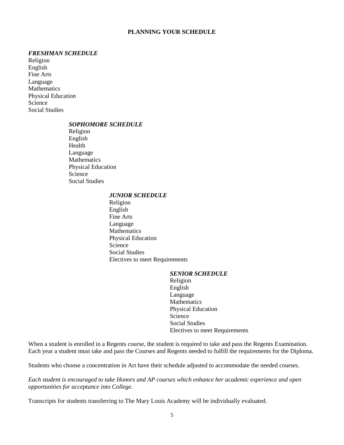### **PLANNING YOUR SCHEDULE**

### *FRESHMAN SCHEDULE*

Religion English Fine Arts Language **Mathematics** Physical Education Science Social Studies

### *SOPHOMORE SCHEDULE*

Religion English Health Language Mathematics Physical Education Science Social Studies

### *JUNIOR SCHEDULE*

Religion English Fine Arts Language Mathematics Physical Education Science Social Studies Electives to meet Requirements

### *SENIOR SCHEDULE*

Religion English Language **Mathematics** Physical Education Science Social Studies Electives to meet Requirements

When a student is enrolled in a Regents course, the student is required to take and pass the Regents Examination. Each year a student must take and pass the Courses and Regents needed to fulfill the requirements for the Diploma.

Students who choose a concentration in Art have their schedule adjusted to accommodate the needed courses.

*Each student is encouraged to take Honors and AP courses which enhance her academic experience and open opportunities for acceptance into College.*

Transcripts for students transferring to The Mary Louis Academy will be individually evaluated.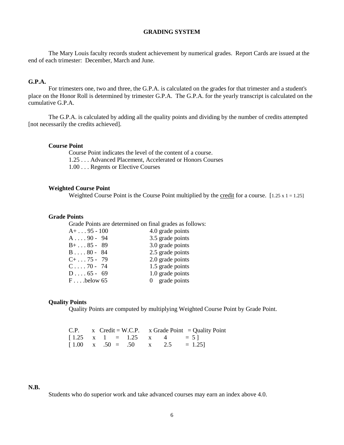### **GRADING SYSTEM**

The Mary Louis faculty records student achievement by numerical grades. Report Cards are issued at the end of each trimester: December, March and June.

### **G.P.A.**

For trimesters one, two and three, the G.P.A. is calculated on the grades for that trimester and a student's place on the Honor Roll is determined by trimester G.P.A. The G.P.A. for the yearly transcript is calculated on the cumulative G.P.A.

The G.P.A. is calculated by adding all the quality points and dividing by the number of credits attempted [not necessarily the credits achieved].

### **Course Point**

Course Point indicates the level of the content of a course. 1.25 . . . Advanced Placement, Accelerated or Honors Courses 1.00 . . . Regents or Elective Courses

### **Weighted Course Point**

Weighted Course Point is the Course Point multiplied by the credit for a course.  $[1.25 \times 1 = 1.25]$ 

### **Grade Points**

Grade Points are determined on final grades as follows:

| $A+ \ldots 95 - 100$ | 4.0 grade points |
|----------------------|------------------|
| $A \ldots 90 - 94$   | 3.5 grade points |
| $B+ \ldots 85 - 89$  | 3.0 grade points |
| $B \ldots 80 - 84$   | 2.5 grade points |
| $C+ \ldots 75 - 79$  | 2.0 grade points |
| $C \ldots 70 - 74$   | 1.5 grade points |
| $D \ldots 65 - 69$   | 1.0 grade points |
| $F \dots$ below 65   | 0 grade points   |

### **Quality Points**

Quality Points are computed by multiplying Weighted Course Point by Grade Point.

|  |  |  |  | C.P. $x$ Credit = W.C.P. $x$ Grade Point = Quality Point              |
|--|--|--|--|-----------------------------------------------------------------------|
|  |  |  |  | $\begin{bmatrix} 1.25 & x & 1 & = & 1.25 & x & 4 & = 5 \end{bmatrix}$ |
|  |  |  |  | $\begin{bmatrix} 1.00 & x & .50 = .50 & x & 2.5 = 1.25 \end{bmatrix}$ |

### **N.B.**

Students who do superior work and take advanced courses may earn an index above 4.0.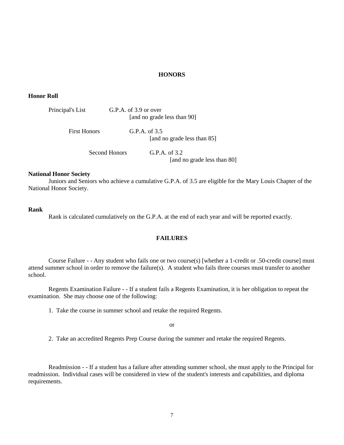### **HONORS**

### **Honor Roll**

| Principal's List    | G.P.A. of 3.9 or over | [and no grade less than 90]                    |
|---------------------|-----------------------|------------------------------------------------|
| <b>First Honors</b> | G.P.A. of $3.5$       | [and no grade less than 85]                    |
| Second Honors       |                       | G.P.A. of $3.2$<br>[and no grade less than 80] |

### **National Honor Society**

Juniors and Seniors who achieve a cumulative G.P.A. of 3.5 are eligible for the Mary Louis Chapter of the National Honor Society.

### **Rank**

Rank is calculated cumulatively on the G.P.A. at the end of each year and will be reported exactly.

### **FAILURES**

Course Failure - - Any student who fails one or two course(s) [whether a 1-credit or .50-credit course] must attend summer school in order to remove the failure(s). A student who fails three courses must transfer to another school.

Regents Examination Failure - - If a student fails a Regents Examination, it is her obligation to repeat the examination. She may choose one of the following:

1. Take the course in summer school and retake the required Regents.

or

2. Take an accredited Regents Prep Course during the summer and retake the required Regents.

Readmission - - If a student has a failure after attending summer school, she must apply to the Principal for readmission. Individual cases will be considered in view of the student's interests and capabilities, and diploma requirements.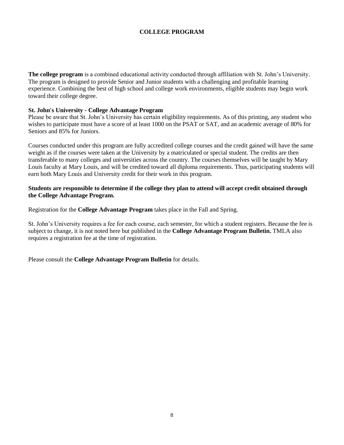### **COLLEGE PROGRAM**

**The college program** is a combined educational activity conducted through affiliation with St. John's University. The program is designed to provide Senior and Junior students with a challenging and profitable learning experience. Combining the best of high school and college work environments, eligible students may begin work toward their college degree.

### **St. John's University - College Advantage Program**

Please be aware that St. John's University has certain eligibility requirements. As of this printing, any student who wishes to participate must have a score of at least 1000 on the PSAT or SAT, and an academic average of 80% for Seniors and 85% for Juniors.

Courses conducted under this program are fully accredited college courses and the credit gained will have the same weight as if the courses were taken at the University by a matriculated or special student. The credits are then transferable to many colleges and universities across the country. The courses themselves will be taught by Mary Louis faculty at Mary Louis, and will be credited toward all diploma requirements. Thus, participating students will earn both Mary Louis and University credit for their work in this program.

### **Students are responsible to determine if the college they plan to attend will accept credit obtained through the College Advantage Program.**

Registration for the **College Advantage Program** takes place in the Fall and Spring.

St. John's University requires a fee for each course, each semester, for which a student registers. Because the fee is subject to change, it is not noted here but published in the **College Advantage Program Bulletin.** TMLA also requires a registration fee at the time of registration.

Please consult the **College Advantage Program Bulletin** for details.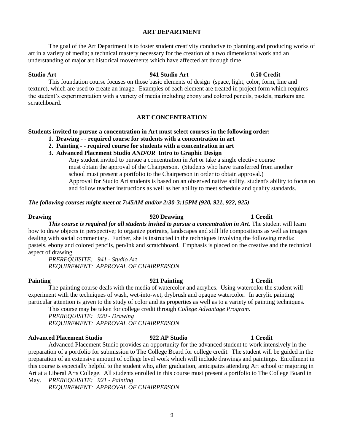### **ART DEPARTMENT**

The goal of the Art Department is to foster student creativity conducive to planning and producing works of art in a variety of media; a technical mastery necessary for the creation of a two dimensional work and an understanding of major art historical movements which have affected art through time.

### **Studio Art 941 Studio Art 0.50 Credit**

This foundation course focuses on those basic elements of design (space, light, color, form, line and texture), which are used to create an image. Examples of each element are treated in project form which requires the student's experimentation with a variety of media including ebony and colored pencils, pastels, markers and scratchboard.

### **ART CONCENTRATION**

### **Students invited to pursue a concentration in Art must select courses in the following order:**

- **1. Drawing - - required course for students with a concentration in art**
- **2. Painting - - required course for students with a concentration in art**
- **3. Advanced Placement Studio** *AND/OR* **Intro to Graphic Design**

Any student invited to pursue a concentration in Art or take a single elective course must obtain the approval of the Chairperson. (Students who have transferred from another school must present a portfolio to the Chairperson in order to obtain approval.) Approval for Studio Art students is based on an observed native ability, student's ability to focus on and follow teacher instructions as well as her ability to meet schedule and quality standards.

### *The following courses might meet at 7:45AM and/or 2:30-3:15PM (920, 921, 922, 925)*

### **Drawing 1 Credit 1 Credit 1 Credit** 1 Credit 1 Credit 1 Credit 1 Credit 1 Credit 1 Credit 1 Credit 1 Credit 1 Credit 1 Credit 1 Credit 1 Credit 1 Credit 1 Credit 1 Credit 1 Credit 1 Credit 1 Credit 1 Credit 1 Credit 1 Cre

*This course is required for all students invited to pursue a concentration in Art*. The student will learn how to draw objects in perspective; to organize portraits, landscapes and still life compositions as well as images dealing with social commentary. Further, she is instructed in the techniques involving the following media: pastels, ebony and colored pencils, pen/ink and scratchboard. Emphasis is placed on the creative and the technical aspect of drawing.

*PREREQUISITE: 941 - Studio Art REQUIREMENT: APPROVAL OF CHAIRPERSON*

**Painting 921 Painting 1 Credit** The painting course deals with the media of watercolor and acrylics. Using watercolor the student will experiment with the techniques of wash, wet-into-wet, drybrush and opaque watercolor. In acrylic painting particular attention is given to the study of color and its properties as well as to a variety of painting techniques.

This course may be taken for college credit through *College Advantage Program. PREREQUISITE: 920 - Drawing*

*REQUIREMENT: APPROVAL OF CHAIRPERSON*

### **Advanced Placement Studio 922 AP Studio 1 Credit**

Advanced Placement Studio provides an opportunity for the advanced student to work intensively in the preparation of a portfolio for submission to The College Board for college credit. The student will be guided in the preparation of an extensive amount of college level work which will include drawings and paintings. Enrollment in this course is especially helpful to the student who, after graduation, anticipates attending Art school or majoring in Art at a Liberal Arts College. All students enrolled in this course must present a portfolio to The College Board in May. *PREREQUISITE: 921 - Painting*

*REQUIREMENT: APPROVAL OF CHAIRPERSON*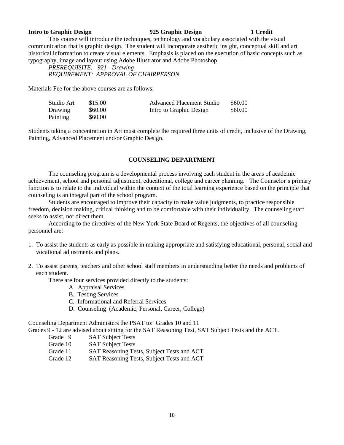### **Intro to Graphic Design 925 Graphic Design 1 Credit**

This course will introduce the techniques, technology and vocabulary associated with the visual communication that is graphic design. The student will incorporate aesthetic insight, conceptual skill and art historical information to create visual elements. Emphasis is placed on the execution of basic concepts such as typography, image and layout using Adobe Illustrator and Adobe Photoshop.

*PREREQUISITE: 921 - Drawing REQUIREMENT: APPROVAL OF CHAIRPERSON*

Materials Fee for the above courses are as follows:

| Studio Art     | \$15.00 | <b>Advanced Placement Studio</b> | \$60.00 |
|----------------|---------|----------------------------------|---------|
| <b>Drawing</b> | \$60.00 | Intro to Graphic Design          | \$60.00 |
| Painting       | \$60.00 |                                  |         |

Students taking a concentration in Art must complete the required three units of credit, inclusive of the Drawing, Painting, Advanced Placement and/or Graphic Design.

### **COUNSELING DEPARTMENT**

The counseling program is a developmental process involving each student in the areas of academic achievement, school and personal adjustment, educational, college and career planning. The Counselor's primary function is to relate to the individual within the context of the total learning experience based on the principle that counseling is an integral part of the school program.

Students are encouraged to improve their capacity to make value judgments, to practice responsible freedom, decision making, critical thinking and to be comfortable with their individuality. The counseling staff seeks to assist, not direct them.

According to the directives of the New York State Board of Regents, the objectives of all counseling personnel are:

- 1. To assist the students as early as possible in making appropriate and satisfying educational, personal, social and vocational adjustments and plans.
- 2. To assist parents, teachers and other school staff members in understanding better the needs and problems of each student.

There are four services provided directly to the students:

- A. Appraisal Services
- B. Testing Services
- C. Informational and Referral Services
- D. Counseling (Academic, Personal, Career, College)

Counseling Department Administers the PSAT to: Grades 10 and 11

Grades 9 - 12 are advised about sitting for the SAT Reasoning Test, SAT Subject Tests and the ACT.

- Grade 9 SAT Subject Tests
- Grade 10 SAT Subject Tests
- Grade 11 SAT Reasoning Tests, Subject Tests and ACT
- Grade 12 SAT Reasoning Tests, Subject Tests and ACT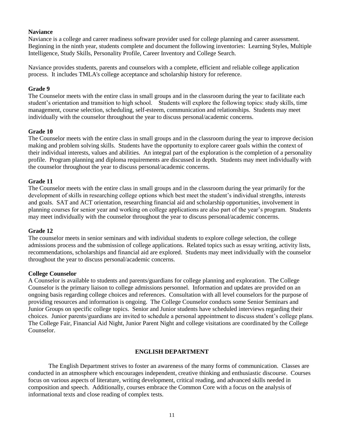### **Naviance**

Naviance is a college and career readiness software provider used for college planning and career assessment. Beginning in the ninth year, students complete and document the following inventories: Learning Styles, Multiple Intelligence, Study Skills, Personality Profile, Career Inventory and College Search.

Naviance provides students, parents and counselors with a complete, efficient and reliable college application process. It includes TMLA's college acceptance and scholarship history for reference.

### **Grade 9**

The Counselor meets with the entire class in small groups and in the classroom during the year to facilitate each student's orientation and transition to high school. Students will explore the following topics: study skills, time management, course selection, scheduling, self-esteem, communication and relationships. Students may meet individually with the counselor throughout the year to discuss personal/academic concerns.

### **Grade 10**

The Counselor meets with the entire class in small groups and in the classroom during the year to improve decision making and problem solving skills. Students have the opportunity to explore career goals within the context of their individual interests, values and abilities. An integral part of the exploration is the completion of a personality profile. Program planning and diploma requirements are discussed in depth. Students may meet individually with the counselor throughout the year to discuss personal/academic concerns.

### **Grade 11**

The Counselor meets with the entire class in small groups and in the classroom during the year primarily for the development of skills in researching college options which best meet the student's individual strengths, interests and goals. SAT and ACT orientation, researching financial aid and scholarship opportunities, involvement in planning courses for senior year and working on college applications are also part of the year's program. Students may meet individually with the counselor throughout the year to discuss personal/academic concerns.

### **Grade 12**

The counselor meets in senior seminars and with individual students to explore college selection, the college admissions process and the submission of college applications. Related topics such as essay writing, activity lists, recommendations, scholarships and financial aid are explored. Students may meet individually with the counselor throughout the year to discuss personal/academic concerns.

### **College Counselor**

A Counselor is available to students and parents/guardians for college planning and exploration. The College Counselor is the primary liaison to college admissions personnel. Information and updates are provided on an ongoing basis regarding college choices and references. Consultation with all level counselors for the purpose of providing resources and information is ongoing. The College Counselor conducts some Senior Seminars and Junior Groups on specific college topics. Senior and Junior students have scheduled interviews regarding their choices. Junior parents/guardians are invited to schedule a personal appointment to discuss student's college plans. The College Fair, Financial Aid Night, Junior Parent Night and college visitations are coordinated by the College Counselor.

### **ENGLISH DEPARTMENT**

The English Department strives to foster an awareness of the many forms of communication. Classes are conducted in an atmosphere which encourages independent, creative thinking and enthusiastic discourse. Courses focus on various aspects of literature, writing development, critical reading, and advanced skills needed in composition and speech. Additionally, courses embrace the Common Core with a focus on the analysis of informational texts and close reading of complex tests.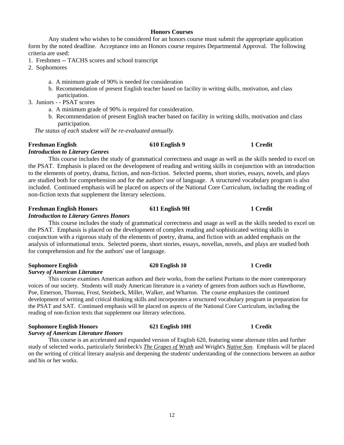### 12

### **Honors Courses**

Any student who wishes to be considered for an honors course must submit the appropriate application form by the noted deadline. Acceptance into an Honors course requires Departmental Approval. The following criteria are used:

- 1. Freshmen -- TACHS scores and school transcript
- 2. Sophomores
	- a. A minimum grade of 90% is needed for consideration
	- b. Recommendation of present English teacher based on facility in writing skills, motivation, and class participation.
- 3. Juniors - PSAT scores
	- a. A minimum grade of 90% is required for consideration.
	- b. Recommendation of present English teacher based on facility in writing skills, motivation and class participation.

 *The status of each student will be re-evaluated annually.*

### **Freshman English 610 English 9 1 Credit**

### *Introduction to Literary Genres*

This course includes the study of grammatical correctness and usage as well as the skills needed to excel on the PSAT. Emphasis is placed on the development of reading and writing skills in conjunction with an introduction to the elements of poetry, drama, fiction, and non-fiction. Selected poems, short stories, essays, novels, and plays are studied both for comprehension and for the authors' use of language. A structured vocabulary program is also included. Continued emphasis will be placed on aspects of the National Core Curriculum, including the reading of non-fiction texts that supplement the literary selections.

### **Freshman English Honors 611 English 9H 1 Credit**

### *Introduction to Literary Genres Honors*

This course includes the study of grammatical correctness and usage as well as the skills needed to excel on the PSAT. Emphasis is placed on the development of complex reading and sophisticated writing skills in conjunction with a rigorous study of the elements of poetry, drama, and fiction with an added emphasis on the analysis of informational texts. Selected poems, short stories, essays, novellas, novels, and plays are studied both for comprehension and for the authors' use of language.

### **Sophomore English 620 English 10 1 Credit**

### *Survey of American Literature*

This course examines American authors and their works, from the earliest Puritans to the more contemporary voices of our society. Students will study American literature in a variety of genres from authors such as Hawthorne, Poe, Emerson, Thoreau, Frost, Steinbeck, Miller, Walker, and Wharton. The course emphasizes the continued development of writing and critical thinking skills and incorporates a structured vocabulary program in preparation for the PSAT and SAT. Continued emphasis will be placed on aspects of the National Core Curriculum, including the reading of non-fiction texts that supplement our literary selections.

### **Sophomore English Honors 621 English 10H 1 Credit**

### *Survey of American Literature Honors*

This course is an accelerated and expanded version of English 620, featuring some alternate titles and further study of selected works, particularly Steinbeck's *The Grapes of Wrath* and Wright's *Native Son.* Emphasis will be placed on the writing of critical literary analysis and deepening the students' understanding of the connections between an author and his or her works.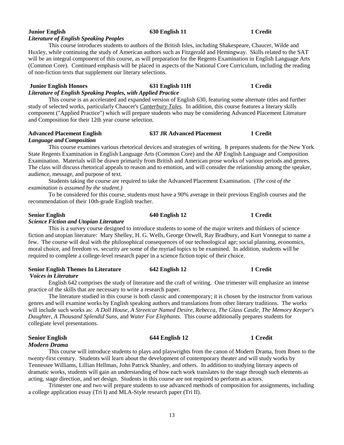### **Junior English 630 English 11 1 Credit** *Literature of English Speaking Peoples*

This course introduces students to authors of the British Isles, including Shakespeare, Chaucer, Wilde and Huxley, while continuing the study of American authors such as Fitzgerald and Hemingway. Skills related to the SAT will be an integral component of this course, as will preparation for the Regents Examination in English Language Arts (Common Core). Continued emphasis will be placed in aspects of the National Core Curriculum, including the reading of non-fiction texts that supplement our literary selections.

### **Junior English Honors 631 English 11H 1 Credit**

### *Literature of English Speaking Peoples, with Applied Practice*

This course is an accelerated and expanded version of English 630, featuring some alternate titles and further study of selected works, particularly Chaucer's *Canterbury Tales.* In addition, this course features a literary skills component ("Applied Practice") which will prepare students who may be considering Advanced Placement Literature and Composition for their 12th year course selection.

### **Advanced Placement English 637 JR Advanced Placement 1 Credit** *Language and Composition*

This course examines various rhetorical devices and strategies of writing. It prepares students for the New York State Regents Examination in English Language Arts (Common Core) and the AP English Language and Composition Examination. Materials will be drawn primarily from British and American prose works of various periods and genres. The class will discuss rhetorical appeals to reason and to emotion, and will consider the relationship among the speaker, audience, message, and purpose of text.

Students taking the course are required to take the Advanced Placement Examination. (*The cost of the examination is assumed by the student.)*

To be considered for this course, students must have a 90% average in their previous English courses and the recommendation of their 10th-grade English teacher.

### **Senior English 640 English 12 1 Credit**

### *Science Fiction and Utopian Literature*

This is a survey course designed to introduce students to some of the major writers and thinkers of science fiction and utopian literature: Mary Shelley, H. G. Wells, George Orwell, Ray Bradbury, and Kurt Vonnegut to name a few. The course will deal with the philosophical consequences of our technological age; social planning, economics, moral choice, and freedom vs. security are some of the myriad topics to be examined. In addition, students will be required to complete a college-level research paper in a science fiction topic of their choice.

### **Senior English Themes In Literature 642 English 12 1 Credit**

### *Voices in Literature*

English 642 comprises the study of literature and the craft of writing. One trimester will emphasize an intense practice of the skills that are necessary to write a research paper.

The literature studied in this course is both classic and contemporary; it is chosen by the instructor from various genres and will examine works by English speaking authors and translations from other literary traditions. The works will include such works as: *A Doll House, A Streetcar Named Desire, Rebecca, The Glass Castle, The Memory Keeper's Daughter, A Thousand Splendid Suns,* and *Water For Elephants.* This course additionally prepares students for collegiate level presentations.

### **Senior English 644 English 12 1 Credit** *Modern Drama*

This course will introduce students to plays and playwrights from the canon of Modern Drama, from Ibsen to the twenty-first century. Students will learn about the development of contemporary theater and will study works by Tennessee Williams, Lillian Hellman, John Patrick Shanley, and others. In addition to studying literary aspects of dramatic works, students will gain an understanding of how each work translates to the stage through such elements as acting, stage direction, and set design. Students in this course are not required to perform as actors.

Trimester one and two will prepare students to use advanced methods of composition for assignments, including a college application essay (Tri I) and MLA-Style research paper (Tri II).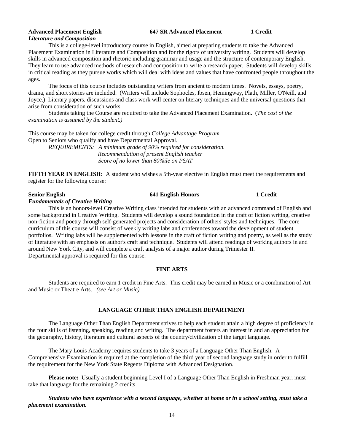# *Literature and Composition*

**Advanced Placement English 647 SR Advanced Placement 1 Credit**

This is a college-level introductory course in English, aimed at preparing students to take the Advanced Placement Examination in Literature and Composition and for the rigors of university writing. Students will develop skills in advanced composition and rhetoric including grammar and usage and the structure of contemporary English. They learn to use advanced methods of research and composition to write a research paper. Students will develop skills in critical reading as they pursue works which will deal with ideas and values that have confronted people throughout the ages.

The focus of this course includes outstanding writers from ancient to modern times. Novels, essays, poetry, drama, and short stories are included. (Writers will include Sophocles, Ibsen, Hemingway, Plath, Miller, O'Neill, and Joyce.) Literary papers, discussions and class work will center on literary techniques and the universal questions that arise from consideration of such works.

Students taking the Course are required to take the Advanced Placement Examination. (*The cost of the examination is assumed by the student.)*

This course may be taken for college credit through *College Advantage Program.* Open to Seniors who qualify and have Departmental Approval.

> *REQUIREMENTS: A minimum grade of 90% required for consideration. Recommendation of present English teacher Score of no lower than 80%ile on PSAT*

**FIFTH YEAR IN ENGLISH:** A student who wishes a 5th-year elective in English must meet the requirements and register for the following course:

### **Senior English 641 English Honors 1 Credit**

### *Fundamentals of Creative Writing*

This is an honors-level Creative Writing class intended for students with an advanced command of English and some background in Creative Writing. Students will develop a sound foundation in the craft of fiction writing, creative non-fiction and poetry through self-generated projects and consideration of others' styles and techniques. The core curriculum of this course will consist of weekly writing labs and conferences toward the development of student portfolios. Writing labs will be supplemented with lessons in the craft of fiction writing and poetry, as well as the study of literature with an emphasis on author's craft and technique. Students will attend readings of working authors in and around New York City, and will complete a craft analysis of a major author during Trimester II. Departmental approval is required for this course.

### **FINE ARTS**

Students are required to earn 1 credit in Fine Arts. This credit may be earned in Music or a combination of Art and Music or Theatre Arts. *(see Art or Music)*

### **LANGUAGE OTHER THAN ENGLISH DEPARTMENT**

The Language Other Than English Department strives to help each student attain a high degree of proficiency in the four skills of listening, speaking, reading and writing. The department fosters an interest in and an appreciation for the geography, history, literature and cultural aspects of the country/civilization of the target language.

The Mary Louis Academy requires students to take 3 years of a Language Other Than English. A Comprehensive Examination is required at the completion of the third year of second language study in order to fulfill the requirement for the New York State Regents Diploma with Advanced Designation.

**Please note:** Usually a student beginning Level I of a Language Other Than English in Freshman year, must take that language for the remaining 2 credits.

*Students who have experience with a second language, whether at home or in a school setting, must take a placement examination.*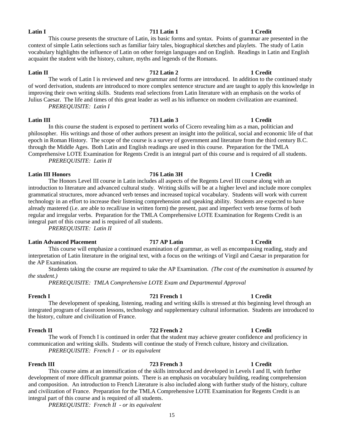### **Latin I 711 Latin 1 1 Credit**

### This course presents the structure of Latin, its basic forms and syntax. Points of grammar are presented in the context of simple Latin selections such as familiar fairy tales, biographical sketches and playlets. The study of Latin vocabulary highlights the influence of Latin on other foreign languages and on English. Readings in Latin and English acquaint the student with the history, culture, myths and legends of the Romans.

### **Latin II 712 Latin 2 1 Credit** The work of Latin I is reviewed and new grammar and forms are introduced. In addition to the continued study of word derivation, students are introduced to more complex sentence structure and are taught to apply this knowledge in improving their own writing skills. Students read selections from Latin literature with an emphasis on the works of Julius Caesar. The life and times of this great leader as well as his influence on modern civilization are examined. *PREREQUISITE: Latin I*

**Latin III 713 Latin 3 1 Credit** In this course the student is exposed to pertinent works of Cicero revealing him as a man, politician and philosopher. His writings and those of other authors present an insight into the political, social and economic life of that epoch in Roman History. The scope of the course is a survey of government and literature from the third century B.C. through the Middle Ages. Both Latin and English readings are used in this course. Preparation for the TMLA Comprehensive LOTE Examination for Regents Credit is an integral part of this course and is required of all students. *PREREQUISITE: Latin II*

**Latin III Honors 716 Latin 3H 1 Credit** The Honors Level III course in Latin includes all aspects of the Regents Level III course along with an introduction to literature and advanced cultural study. Writing skills will be at a higher level and include more complex grammatical structures, more advanced verb tenses and increased topical vocabulary. Students will work with current technology in an effort to increase their listening comprehension and speaking ability. Students are expected to have already mastered (i.e. are able to recall/use in written form) the present, past and imperfect verb tense forms of both regular and irregular verbs. Preparation for the TMLA Comprehensive LOTE Examination for Regents Credit is an integral part of this course and is required of all students.

*PREREQUISITE: Latin II*

### **Latin Advanced Placement 717 AP Latin 1 Credit**

This course will emphasize a continued examination of grammar, as well as encompassing reading, study and interpretation of Latin literature in the original text, with a focus on the writings of Virgil and Caesar in preparation for the AP Examination.

Students taking the course are required to take the AP Examination. *(The cost of the examination is assumed by the student.)*

*PREREQUISITE: TMLA Comprehensive LOTE Exam and Departmental Approval*

### **French I 721 French 1 1 Credit**

The development of speaking, listening, reading and writing skills is stressed at this beginning level through an integrated program of classroom lessons, technology and supplementary cultural information. Students are introduced to the history, culture and civilization of France.

The work of French I is continued in order that the student may achieve greater confidence and proficiency in communication and writing skills. Students will continue the study of French culture, history and civilization. *PREREQUISITE: French I - or its equivalent*

### **French III 723 French 3 1 Credit**

This course aims at an intensification of the skills introduced and developed in Levels I and II, with further development of more difficult grammar points. There is an emphasis on vocabulary building, reading comprehension and composition. An introduction to French Literature is also included along with further study of the history, culture and civilization of France. Preparation for the TMLA Comprehensive LOTE Examination for Regents Credit is an integral part of this course and is required of all students.

*PREREQUISITE: French II - or its equivalent*

### **French II 722 French 2 1 Credit**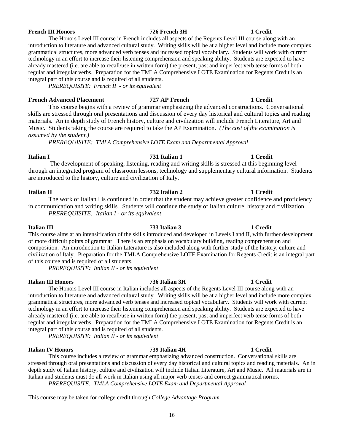### **French III Honors 726 French 3H 1 Credit**

### The Honors Level III course in French includes all aspects of the Regents Level III course along with an introduction to literature and advanced cultural study. Writing skills will be at a higher level and include more complex grammatical structures, more advanced verb tenses and increased topical vocabulary. Students will work with current technology in an effort to increase their listening comprehension and speaking ability. Students are expected to have already mastered (i.e. are able to recall/use in written form) the present, past and imperfect verb tense forms of both regular and irregular verbs. Preparation for the TMLA Comprehensive LOTE Examination for Regents Credit is an integral part of this course and is required of all students.

*PREREQUISITE: French II - or its equivalent*

### **French Advanced Placement 727 AP French 1 Credit**

This course begins with a review of grammar emphasizing the advanced constructions. Conversational skills are stressed through oral presentations and discussion of every day historical and cultural topics and reading materials. An in depth study of French history, culture and civilization will include French Literature, Art and Music. Students taking the course are required to take the AP Examination. *(The cost of the examination is assumed by the student.)*

*PREREQUISITE: TMLA Comprehensive LOTE Exam and Departmental Approval*

### **Italian I 731 Italian 1 1 Credit**

The development of speaking, listening, reading and writing skills is stressed at this beginning level through an integrated program of classroom lessons, technology and supplementary cultural information. Students are introduced to the history, culture and civilization of Italy.

### **Italian II 732 Italian 2 1 Credit**

The work of Italian I is continued in order that the student may achieve greater confidence and proficiency in communication and writing skills. Students will continue the study of Italian culture, history and civilization. *PREREQUISITE: Italian I - or its equivalent*

**Italian III 733 Italian 3 1 Credit** This course aims at an intensification of the skills introduced and developed in Levels I and II, with further development of more difficult points of grammar. There is an emphasis on vocabulary building, reading comprehension and composition. An introduction to Italian Literature is also included along with further study of the history, culture and civilization of Italy. Preparation for the TMLA Comprehensive LOTE Examination for Regents Credit is an integral part of this course and is required of all students.

*PREREQUISITE: Italian II - or its equivalent*

### **Italian III Honors 736 Italian 3H 1 Credit**

The Honors Level III course in Italian includes all aspects of the Regents Level III course along with an introduction to literature and advanced cultural study. Writing skills will be at a higher level and include more complex grammatical structures, more advanced verb tenses and increased topical vocabulary. Students will work with current technology in an effort to increase their listening comprehension and speaking ability. Students are expected to have already mastered (i.e. are able to recall/use in written form) the present, past and imperfect verb tense forms of both regular and irregular verbs. Preparation for the TMLA Comprehensive LOTE Examination for Regents Credit is an integral part of this course and is required of all students.

*PREREQUISITE: Italian II - or its equivalent*

### **Italian IV Honors 739 Italian 4H 1 Credit**

This course includes a review of grammar emphasizing advanced construction. Conversational skills are stressed through oral presentations and discussion of every day historical and cultural topics and reading materials. An in depth study of Italian history, culture and civilization will include Italian Literature, Art and Music. All materials are in Italian and students must do all work in Italian using all major verb tenses and correct grammatical norms. *PREREQUISITE: TMLA Comprehensive LOTE Exam and Departmental Approval*

### This course may be taken for college credit through *College Advantage Program.*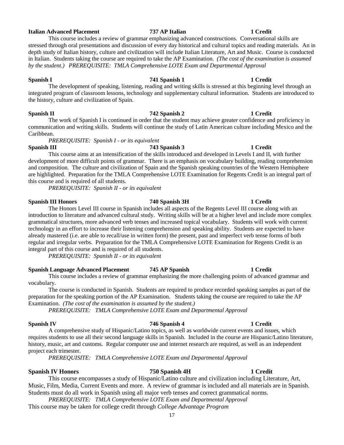### Students must do all work in Spanish using all major verb tenses and correct grammatical norms.

Music, Film, Media, Current Events and more. A review of grammar is included and all materials are in Spanish.

### *PREREQUISITE: TMLA Comprehensive LOTE Exam and Departmental Approval* This course may be taken for college credit through *College Advantage Program*

### 17

*PREREQUISITE: TMLA Comprehensive LOTE Exam and Departmental Approval*

**Spanish IV 746 Spanish 4 1 Credit** A comprehensive study of Hispanic/Latino topics, as well as worldwide current events and issues, which requires students to use all their second language skills in Spanish. Included in the course are Hispanic/Latino literature,

This course includes a review of grammar emphasizing the more challenging points of advanced grammar and

The course is conducted in Spanish. Students are required to produce recorded speaking samples as part of the

vocabulary.

preparation for the speaking portion of the AP Examination. Students taking the course are required to take the AP Examination. *(The cost of the examination is assumed by the student.)*

*PREREQUISITE: TMLA Comprehensive LOTE Exam and Departmental Approval*

project each trimester.

**Spanish Language Advanced Placement 745 AP Spanish 1 Credit**

**Spanish III Honors 740 Spanish 3H 1 Credit**

technology in an effort to increase their listening comprehension and speaking ability. Students are expected to have already mastered (i.e. are able to recall/use in written form) the present, past and imperfect verb tense forms of both regular and irregular verbs. Preparation for the TMLA Comprehensive LOTE Examination for Regents Credit is an

### **Spanish I 741 Spanish 1 1 Credit** The development of speaking, listening, reading and writing skills is stressed at this beginning level through an integrated program of classroom lessons, technology and supplementary cultural information. Students are introduced to

### in Italian. Students taking the course are required to take the AP Examination. *(The cost of the examination is assumed by the student.) PREREQUISITE: TMLA Comprehensive LOTE Exam and Departmental Approval*

stressed through oral presentations and discussion of every day historical and cultural topics and reading materials. An in depth study of Italian history, culture and civilization will include Italian Literature, Art and Music. Course is conducted

### **Italian Advanced Placement 737 AP Italian 1 Credit**

# the history, culture and civilization of Spain.

**Spanish II 742 Spanish 2 1 Credit** The work of Spanish I is continued in order that the student may achieve greater confidence and proficiency in communication and writing skills. Students will continue the study of Latin American culture including Mexico and the Caribbean.

*PREREQUISITE: Spanish I - or its equivalent*

**Spanish III 743 Spanish 3 1 Credit** This course aims at an intensification of the skills introduced and developed in Levels I and II, with further development of more difficult points of grammar. There is an emphasis on vocabulary building, reading comprehension and composition. The culture and civilization of Spain and the Spanish speaking countries of the Western Hemisphere are highlighted. Preparation for the TMLA Comprehensive LOTE Examination for Regents Credit is an integral part of this course and is required of all students.

*PREREQUISITE: Spanish II - or its equivalent*

integral part of this course and is required of all students.

*PREREQUISITE: Spanish II - or its equivalent*

The Honors Level III course in Spanish includes all aspects of the Regents Level III course along with an introduction to literature and advanced cultural study. Writing skills will be at a higher level and include more complex grammatical structures, more advanced verb tenses and increased topical vocabulary. Students will work with current

This course includes a review of grammar emphasizing advanced constructions. Conversational skills are

### **Spanish IV Honors 750 Spanish 4H 1 Credit** This course encompasses a study of Hispanic/Latino culture and civilization including Literature, Art,

history, music, art and customs. Regular computer use and internet research are required, as well as an independent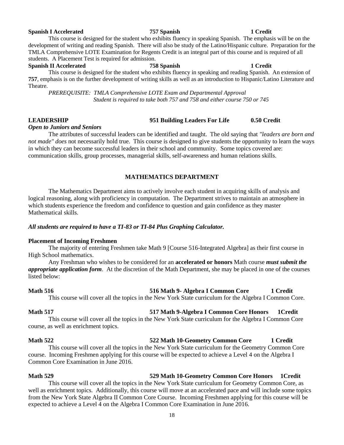### 18

### **Spanish I Accelerated 757 Spanish 1 Credit**

### This course is designed for the student who exhibits fluency in speaking Spanish. The emphasis will be on the development of writing and reading Spanish. There will also be study of the Latino/Hispanic culture. Preparation for the TMLA Comprehensive LOTE Examination for Regents Credit is an integral part of this course and is required of all students. A Placement Test is required for admission.

### **Spanish II Accelerated 758 Spanish 1 Credit**

This course is designed for the student who exhibits fluency in speaking and reading Spanish. An extension of **757**, emphasis is on the further development of writing skills as well as an introduction to Hispanic/Latino Literature and Theatre.

*PREREQUISITE: TMLA Comprehensive LOTE Exam and Departmental Approval Student is required to take both 757 and 758 and either course 750 or 745*

### **LEADERSHIP 951 Building Leaders For Life 0.50 Credit**

### *Open to Juniors and Seniors*

The attributes of successful leaders can be identified and taught. The old saying that *"leaders are born and not made" does* not necessarily hold true. This course is designed to give students the opportunity to learn the ways in which they can become successful leaders in their school and community. Some topics covered are: communication skills, group processes, managerial skills, self-awareness and human relations skills.

### **MATHEMATICS DEPARTMENT**

The Mathematics Department aims to actively involve each student in acquiring skills of analysis and logical reasoning, along with proficiency in computation. The Department strives to maintain an atmosphere in which students experience the freedom and confidence to question and gain confidence as they master Mathematical skills.

### *All students are required to have a TI-83 or TI-84 Plus Graphing Calculator.*

### **Placement of Incoming Freshmen**

The majority of entering Freshmen take Math 9 [Course 516-Integrated Algebra] as their first course in High School mathematics.

Any Freshman who wishes to be considered for an **accelerated or honors** Math course *must submit the appropriate application form*. At the discretion of the Math Department, she may be placed in one of the courses listed below:

**Math 516 516 Math 9- Algebra I Common Core 1 Credit** This course will cover all the topics in the New York State curriculum for the Algebra I Common Core.

### **Math 517 517 Math 9-Algebra I Common Core Honors 1Credit**

This course will cover all the topics in the New York State curriculum for the Algebra I Common Core course, as well as enrichment topics.

### **Math 522 522 Math 10-Geometry Common Core 1 Credit**

This course will cover all the topics in the New York State curriculum for the Geometry Common Core course. Incoming Freshmen applying for this course will be expected to achieve a Level 4 on the Algebra I Common Core Examination in June 2016.

### **Math 529 529 Math 10-Geometry Common Core Honors 1Credit**

This course will cover all the topics in the New York State curriculum for Geometry Common Core, as well as enrichment topics. Additionally, this course will move at an accelerated pace and will include some topics from the New York State Algebra II Common Core Course. Incoming Freshmen applying for this course will be expected to achieve a Level 4 on the Algebra I Common Core Examination in June 2016.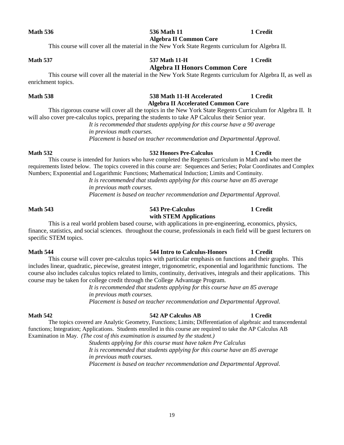### **Math 536 536 Math 11 536 Math 11 1** Credit **Algebra II Common Core**

This course will cover all the material in the New York State Regents curriculum for Algebra II.

### **Math 537 537 Math 11-H 1 Credit Algebra II Honors Common Core**

This course will cover all the material in the New York State Regents curriculum for Algebra II, as well as enrichment topics.

### **Math 538 538 Math 11-H Accelerated 1 Credit Algebra II Accelerated Common Core**

This rigorous course will cover all the topics in the New York State Regents Curriculum for Algebra II. It will also cover pre-calculus topics, preparing the students to take AP Calculus their Senior year.

> *It is recommended that students applying for this course have a 90 average in previous math courses.*

*Placement is based on teacher recommendation and Departmental Approval.*

### **Math 532 532 Honors Pre-Calculus 1 Credit**

This course is intended for Juniors who have completed the Regents Curriculum in Math and who meet the requirements listed below. The topics covered in this course are: Sequences and Series; Polar Coordinates and Complex Numbers; Exponential and Logarithmic Functions; Mathematical Induction; Limits and Continuity.

*It is recommended that students applying for this course have an 85 average in previous math courses. Placement is based on teacher recommendation and Departmental Approval.* 

### **Math 543 543 Pre-Calculus 1 Credit with STEM Applications**

This is a real world problem based course, with applications in pre-engineering, economics, physics, finance, statistics, and social sciences. throughout the course, professionals in each field will be guest lecturers on specific STEM topics.

### **Math 544 544 Intro to Calculus-Honors 1 Credit**

This course will cover pre-calculus topics with particular emphasis on functions and their graphs. This includes linear, quadratic, piecewise, greatest integer, trigonometric, exponential and logarithmic functions. The course also includes calculus topics related to limits, continuity, derivatives, integrals and their applications. This course may be taken for college credit through the College Advantage Program.

> *It is recommended that students applying for this course have an 85 average in previous math courses.*

> *Placement is based on teacher recommendation and Departmental Approval.*

### **Math 542 542 AP Calculus AB 1 Credit**

The topics covered are Analytic Geometry, Functions; Limits; Differentiation of algebraic and transcendental functions; Integration; Applications. Students enrolled in this course are required to take the AP Calculus AB Examination in May. *(The cost of this examination is assumed by the student.)* 

> *Students applying for this course must have taken Pre Calculus It is recommended that students applying for this course have an 85 average in previous math courses. Placement is based on teacher recommendation and Departmental Approval.*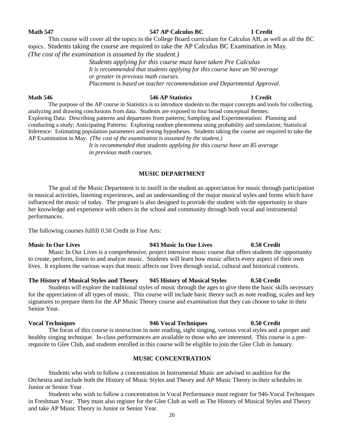### *(The cost of the examination is assumed by the student.)*

topics. Students taking the course are required to take the AP Calculus BC Examination in May.

*Students applying for this course must have taken Pre Calculus It is recommended that students applying for this course have an 90 average or greater in previous math courses. Placement is based on teacher recommendation and Departmental Approval.*

### **Math 546 546 AP Statistics 1 Credit**

The purpose of the AP course in Statistics is to introduce students to the major concepts and tools for collecting, analyzing and drawing conclusions from data. Students are exposed to four broad conceptual themes: Exploring Data: Describing patterns and departures from patterns; Sampling and Experimentation: Planning and conducting a study; Anticipating Patterns: Exploring random phenomena using probability and simulation; Statistical Inference: Estimating population parameters and testing hypotheses. Students taking the course are required to take the AP Examination in May. *(The cost of the examination is assumed by the student.)* 

> *It is recommended that students applying for this course have an 85 average in previous math courses.*

### **MUSIC DEPARTMENT**

The goal of the Music Department is to instill in the student an appreciation for music through participation in musical activities, listening experiences, and an understanding of the major musical styles and forms which have influenced the music of today. The program is also designed to provide the student with the opportunity to share her knowledge and experience with others in the school and community through both vocal and instrumental performances.

The following courses fulfill 0.50 Credit in Fine Arts:

### **Music In Our Lives 943 Music In Our Lives 0.50 Credit**

Music In Our Lives is a comprehensive, project intensive music course that offers students the opportunity to create, perform, listen to and analyze music. Students will learn how music affects every aspect of their own lives. It explores the various ways that music affects our lives through social, cultural and historical contexts.

### **The History of Musical Styles and Theory 945 History of Musical Styles 0.50 Credit**

Students will explore the traditional styles of music through the ages to give them the basic skills necessary for the appreciation of all types of music. This course will include basic theory such as note reading, scales and key signatures to prepare them for the AP Music Theory course and examination that they can choose to take in their Senior Year.

**Vocal Techniques 946 Vocal Techniques 0.50 Credit**

The focus of this course is instruction in note reading, sight singing, various vocal styles and a proper and healthy singing technique. In-class performances are available to those who are interested. This course is a prerequisite to Glee Club, and students enrolled in this course will be eligible to join the Glee Club in January.

### **MUSIC CONCENTRATION**

Students who wish to follow a concentration in Instrumental Music are advised to audition for the Orchestra and include both the History of Music Styles and Theory and AP Music Theory in their schedules in Junior or Senior Year.

Students who wish to follow a concentration in Vocal Performance must register for 946-Vocal Techniques in Freshman Year. They must also register for the Glee Club as well as The History of Musical Styles and Theory and take AP Music Theory in Junior or Senior Year.

### **Math 547 547 AP Calculus BC 1 Credit**

# This course will cover all the topics in the College Board curriculum for Calculus AB, as well as all the BC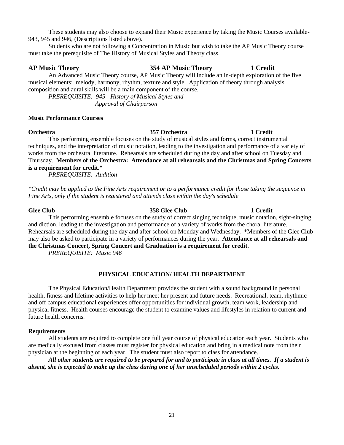These students may also choose to expand their Music experience by taking the Music Courses available-943, 945 and 946, (Descriptions listed above).

Students who are not following a Concentration in Music but wish to take the AP Music Theory course must take the prerequisite of The History of Musical Styles and Theory class.

### **AP Music Theory 354 AP Music Theory 1 Credit**

An Advanced Music Theory course, AP Music Theory will include an in-depth exploration of the five musical elements: melody, harmony, rhythm, texture and style. Application of theory through analysis, composition and aural skills will be a main component of the course.

*PREREQUISITE: 945 - History of Musical Styles and Approval of Chairperson*

### **Music Performance Courses**

### **Orchestra 357 Orchestra 1 Credit**

This performing ensemble focuses on the study of musical styles and forms, correct instrumental techniques, and the interpretation of music notation, leading to the investigation and performance of a variety of works from the orchestral literature. Rehearsals are scheduled during the day and after school on Tuesday and Thursday. **Members of the Orchestra: Attendance at all rehearsals and the Christmas and Spring Concerts is a requirement for credit.\***

*PREREQUISITE: Audition*

*\*Credit may be applied to the Fine Arts requirement or to a performance credit for those taking the sequence in Fine Arts, only if the student is registered and attends class within the day's schedule*

### **Glee Club 358 Glee Club 1 Credit**

This performing ensemble focuses on the study of correct singing technique, music notation, sight-singing and diction, leading to the investigation and performance of a variety of works from the choral literature. Rehearsals are scheduled during the day and after school on Monday and Wednesday. \*Members of the Glee Club may also be asked to participate in a variety of performances during the year. **Attendance at all rehearsals and the Christmas Concert, Spring Concert and Graduation is a requirement for credit.**

*PREREQUISITE: Music 946*

### **PHYSICAL EDUCATION/ HEALTH DEPARTMENT**

The Physical Education/Health Department provides the student with a sound background in personal health, fitness and lifetime activities to help her meet her present and future needs. Recreational, team, rhythmic and off campus educational experiences offer opportunities for individual growth, team work, leadership and physical fitness. Health courses encourage the student to examine values and lifestyles in relation to current and future health concerns.

### **Requirements**

All students are required to complete one full year course of physical education each year. Students who are medically excused from classes must register for physical education and bring in a medical note from their physician at the beginning of each year. The student must also report to class for attendance..

*All other students are required to be prepared for and to participate in class at all times. If a student is absent, she is expected to make up the class during one of her unscheduled periods within 2 cycles.*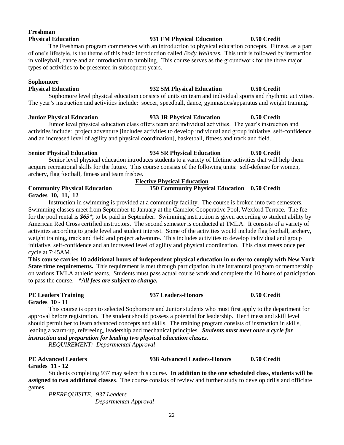### **Freshman Physical Education 931 FM Physical Education 0.50 Credit**

The Freshman program commences with an introduction to physical education concepts. Fitness, as a part of one's lifestyle, is the theme of this basic introduction called *Body Wellness.* This unit is followed by instruction in volleyball, dance and an introduction to tumbling. This course serves as the groundwork for the three major types of activities to be presented in subsequent years.

### **Sophomore**

### **Physical Education 932 SM Physical Education 0.50 Credit**

Sophomore level physical education consists of units on team and individual sports and rhythmic activities. The year's instruction and activities include: soccer, speedball, dance, gymnastics/apparatus and weight training.

### **Junior Physical Education 933 JR Physical Education 0.50 Credit**

Junior level physical education class offers team and individual activities. The year's instruction and activities include: project adventure [includes activities to develop individual and group initiative, self-confidence and an increased level of agility and physical coordination], basketball, fitness and track and field.

### **Senior Physical Education 934 SR Physical Education 0.50 Credit**

Senior level physical education introduces students to a variety of lifetime activities that will help them acquire recreational skills for the future. This course consists of the following units: self-defense for women, archery, flag football, fitness and team frisbee.

### **Elective Physical Education**

**Community Physical Education 150 Community Physical Education 0.50 Credit Grades 10, 11, 12**

Instruction in swimming is provided at a community facility. The course is broken into two semesters. Swimming classes meet from September to January at the Camelot Cooperative Pool, Wexford Terrace. The fee for the pool rental is *\$65\*,* to be paid in September. Swimming instruction is given according to student ability by American Red Cross certified instructors. The second semester is conducted at TMLA. It consists of a variety of activities according to grade level and student interest. Some of the activities would include flag football, archery, weight training, track and field and project adventure. This includes activities to develop individual and group initiative, self-confidence and an increased level of agility and physical coordination. This class meets once per cycle at 7:45AM.

**This course carries 10 additional hours of independent physical education in order to comply with New York State time requirements.** This requirement is met through participation in the intramural program or membership on various TMLA athletic teams. Students must pass actual course work and complete the 10 hours of participation to pass the course. *\*All fees are subject to change.*

### **PE Leaders Training 937 Leaders-Honors 0.50 Credit Grades 10 - 11**

This course is open to selected Sophomore and Junior students who must first apply to the department for approval before registration. The student should possess a potential for leadership. Her fitness and skill level should permit her to learn advanced concepts and skills. The training program consists of instruction in skills, leading a warm-up, refereeing, leadership and mechanical principles. *Students must meet once a cycle for instruction and preparation for leading two physical education classes.*

*REQUIREMENT: Departmental Approval*

### **PE Advanced Leaders 938 Advanced Leaders-Honors 0.50 Credit**

**Grades 11 - 12**

Students completing 937 may select this course**. In addition to the one scheduled class, students will be assigned to two additional classes**. The course consists of review and further study to develop drills and officiate games.

*PREREQUISITE: 937 Leaders Departmental Approval*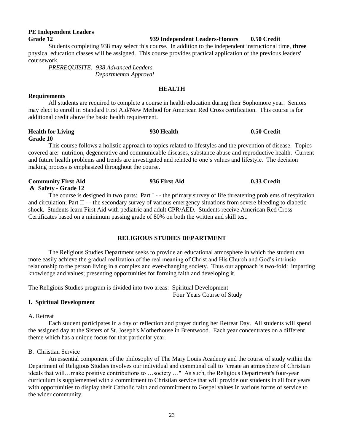### **PE Independent Leaders Grade 12 939 Independent Leaders-Honors 0.50 Credit**

Students completing 938 may select this course. In addition to the independent instructional time, **three** physical education classes will be assigned. This course provides practical application of the previous leaders' coursework.

*PREREQUISITE: 938 Advanced Leaders Departmental Approval*

### **HEALTH**

All students are required to complete a course in health education during their Sophomore year. Seniors may elect to enroll in Standard First Aid/New Method for American Red Cross certification. This course is for additional credit above the basic health requirement.

### **Health for Living 930 Health 0.50 Credit Grade 10**

**Requirements**

This course follows a holistic approach to topics related to lifestyles and the prevention of disease. Topics covered are: nutrition, degenerative and communicable diseases, substance abuse and reproductive health. Current and future health problems and trends are investigated and related to one's values and lifestyle. The decision making process is emphasized throughout the course.

### **Community First Aid 936 First Aid 0.33 Credit & Safety - Grade 12** The course is designed in two parts: Part I - - the primary survey of life threatening problems of respiration

and circulation; Part II - - the secondary survey of various emergency situations from severe bleeding to diabetic shock. Students learn First Aid with pediatric and adult CPR/AED. Students receive American Red Cross Certificates based on a minimum passing grade of 80% on both the written and skill test.

### **RELIGIOUS STUDIES DEPARTMENT**

The Religious Studies Department seeks to provide an educational atmosphere in which the student can more easily achieve the gradual realization of the real meaning of Christ and His Church and God's intrinsic relationship to the person living in a complex and ever-changing society. Thus our approach is two-fold: imparting knowledge and values; presenting opportunities for forming faith and developing it.

The Religious Studies program is divided into two areas: Spiritual Development

Four Years Course of Study

### **I. Spiritual Development**

A. Retreat

Each student participates in a day of reflection and prayer during her Retreat Day. All students will spend the assigned day at the Sisters of St. Joseph's Motherhouse in Brentwood. Each year concentrates on a different theme which has a unique focus for that particular year.

### B. Christian Service

An essential component of the philosophy of The Mary Louis Academy and the course of study within the Department of Religious Studies involves our individual and communal call to "create an atmosphere of Christian ideals that will…make positive contributions to …society …" As such, the Religious Department's four-year curriculum is supplemented with a commitment to Christian service that will provide our students in all four years with opportunities to display their Catholic faith and commitment to Gospel values in various forms of service to the wider community.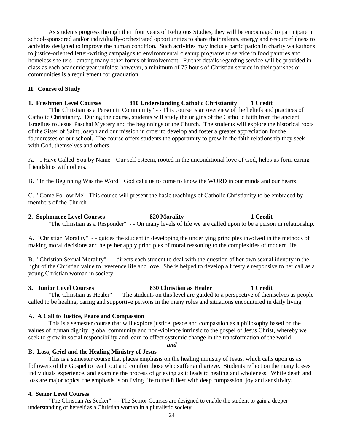As students progress through their four years of Religious Studies, they will be encouraged to participate in school-sponsored and/or individually-orchestrated opportunities to share their talents, energy and resourcefulness to activities designed to improve the human condition. Such activities may include participation in charity walkathons to justice-oriented letter-writing campaigns to environmental cleanup programs to service in food pantries and homeless shelters - among many other forms of involvement. Further details regarding service will be provided inclass as each academic year unfolds; however, a minimum of 75 hours of Christian service in their parishes or communities is a requirement for graduation.

### **II. Course of Study**

### **1. Freshmen Level Courses 810 Understanding Catholic Christianity 1 Credit**

"The Christian as a Person in Community" - - This course is an overview of the beliefs and practices of Catholic Christianity. During the course, students will study the origins of the Catholic faith from the ancient Israelites to Jesus' Paschal Mystery and the beginnings of the Church. The students will explore the historical roots of the Sister of Saint Joseph and our mission in order to develop and foster a greater appreciation for the foundresses of our school. The course offers students the opportunity to grow in the faith relationship they seek with God, themselves and others.

A. "I Have Called You by Name" Our self esteem, rooted in the unconditional love of God, helps us form caring friendships with others.

B. "In the Beginning Was the Word" God calls us to come to know the WORD in our minds and our hearts.

C. "Come Follow Me" This course will present the basic teachings of Catholic Christianity to be embraced by members of the Church.

### **2. Sophomore Level Courses 820 Morality 1 Credit**

"The Christian as a Responder" - - On many levels of life we are called upon to be a person in relationship.

A. "Christian Morality" - - guides the student in developing the underlying principles involved in the methods of making moral decisions and helps her apply principles of moral reasoning to the complexities of modern life.

B. "Christian Sexual Morality" - - directs each student to deal with the question of her own sexual identity in the light of the Christian value to reverence life and love. She is helped to develop a lifestyle responsive to her call as a young Christian woman in society.

### **3. Junior Level Courses 830 Christian as Healer 1 Credit**

"The Christian as Healer" - - The students on this level are guided to a perspective of themselves as people called to be healing, caring and supportive persons in the many roles and situations encountered in daily living.

### A. **A Call to Justice, Peace and Compassion**

This is a semester course that will explore justice, peace and compassion as a philosophy based on the values of human dignity, global community and non-violence intrinsic to the gospel of Jesus Christ, whereby we seek to grow in social responsibility and learn to effect systemic change in the transformation of the world.

*and*

### B. **Loss, Grief and the Healing Ministry of Jesus**

This is a semester course that places emphasis on the healing ministry of Jesus, which calls upon us as followers of the Gospel to reach out and comfort those who suffer and grieve. Students reflect on the many losses individuals experience, and examine the process of grieving as it leads to healing and wholeness. While death and loss are major topics, the emphasis is on living life to the fullest with deep compassion, joy and sensitivity.

### **4. Senior Level Courses**

"The Christian As Seeker" - - The Senior Courses are designed to enable the student to gain a deeper understanding of herself as a Christian woman in a pluralistic society.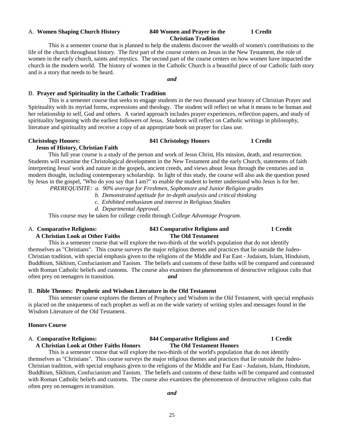### A. **Women Shaping Church History 840 Women and Prayer in the 1 Credit**

## **Christian Tradition**

This is a semester course that is planned to help the students discover the wealth of women's contributions to the life of the church throughout history. The first part of the course centers on Jesus in the New Testament, the role of women in the early church, saints and mystics. The second part of the course centers on how women have impacted the church in the modern world. The history of women in the Catholic Church is a beautiful piece of our Catholic faith story and is a story that needs to be heard.

*and*

### B. **Prayer and Spirituality in the Catholic Tradition**

This is a semester course that seeks to engage students in the two thousand year history of Christian Prayer and Spirituality with its myriad forms, expressions and theology. The student will reflect on what it means to be human and her relationship to self, God and others. A varied approach includes prayer experiences, reflection papers, and study of spirituality beginning with the earliest followers of Jesus. Students will reflect on Catholic writings in philosophy, literature and spirituality and receive a copy of an appropriate book on prayer for class use.

 **Jesus of History, Christian Faith**

### **Christology Honors: 841 Christology Honors 1 Credit**

This full year course is a study of the person and work of Jesus Christ, His mission, death, and resurrection. Students will examine the Christological development in the New Testament and the early Church, statements of faith interpreting Jesus' work and nature in the gospels, ancient creeds, and views about Jesus through the centuries and in modern thought, including contemporary scholarship. In light of this study, the course will also ask the question posed by Jesus in the gospel, "Who do you say that I am?" to enable the student to better understand who Jesus is for her.

*PREREQUISITE: a. 90% average for Freshmen, Sophomore and Junior Religion grades*

- *b. Demonstrated aptitude for in-depth analysis and critical thinking*
- *c. Exhibited enthusiasm and interest in Religious Studies*
- *d. Departmental Approval.*

This course may be taken for college credit through *College Advantage Program.* 

### A. **Comparative Religions: 843 Comparative Religions and 1 Credit A Christian Look at Other Faiths The Old Testament**

This is a semester course that will explore the two-thirds of the world's population that do not identify themselves as "Christians". This course surveys the major religious themes and practices that lie outside the Judeo-Christian tradition, with special emphasis given to the religions of the Middle and Far East - Judaism, Islam, Hinduism, Buddhism, Sikhism, Confucianism and Taoism. The beliefs and customs of these faiths will be compared and contrasted with Roman Catholic beliefs and customs. The course also examines the phenomenon of destructive religious cults that often prey on teenagers in transition. *and*

### B. **Bible Themes: Prophetic and Wisdom Literature in the Old Testament**

This semester course explores the themes of Prophecy and Wisdom in the Old Testament, with special emphasis is placed on the uniqueness of each prophet as well as on the wide variety of writing styles and messages found in the Wisdom Literature of the Old Testament.

### **Honors Course**

# A. **Comparative Religions: 844 Comparative Religions and 1 Credit**

 **A Christian Look at Other Faiths Honors The Old Testament Honors**

This is a semester course that will explore the two-thirds of the world's population that do not identify themselves as "Christians". This course surveys the major religious themes and practices that lie outside the Judeo-Christian tradition, with special emphasis given to the religions of the Middle and Far East - Judaism, Islam, Hinduism, Buddhism, Sikhism, Confucianism and Taoism. The beliefs and customs of these faiths will be compared and contrasted with Roman Catholic beliefs and customs. The course also examines the phenomenon of destructive religious cults that often prey on teenagers in transition.

*and*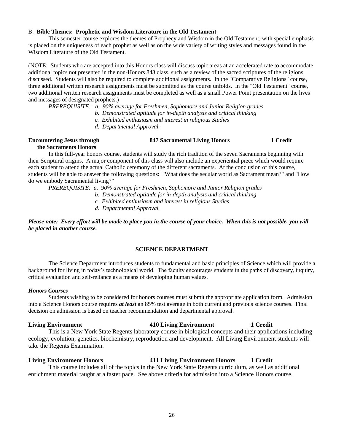### B. **Bible Themes: Prophetic and Wisdom Literature in the Old Testament**

This semester course explores the themes of Prophecy and Wisdom in the Old Testament, with special emphasis is placed on the uniqueness of each prophet as well as on the wide variety of writing styles and messages found in the Wisdom Literature of the Old Testament.

(NOTE: Students who are accepted into this Honors class will discuss topic areas at an accelerated rate to accommodate additional topics not presented in the non-Honors 843 class, such as a review of the sacred scriptures of the religions discussed. Students will also be required to complete additional assignments. In the "Comparative Religions" course, three additional written research assignments must be submitted as the course unfolds. In the "Old Testament" course, two additional written research assignments must be completed as well as a small Power Point presentation on the lives and messages of designated prophets.)

*PREREQUISITE: a. 90% average for Freshmen, Sophomore and Junior Religion grades*

- *b. Demonstrated aptitude for in-depth analysis and critical thinking*
- *c. Exhibited enthusiasm and interest in religious Studies*
- *d. Departmental Approval.*

### **Encountering Jesus through 847 Sacramental Living Honors 1 Credit**

 **the Sacraments Honors**

In this full-year honors course, students will study the rich tradition of the seven Sacraments beginning with their Scriptural origins. A major component of this class will also include an experiential piece which would require each student to attend the actual Catholic ceremony of the different sacraments. At the conclusion of this course, students will be able to answer the following questions: "What does the secular world as Sacrament mean?" and "How do we embody Sacramental living?"

*PREREQUISITE: a. 90% average for Freshmen, Sophomore and Junior Religion grades*

- *b. Demonstrated aptitude for in-depth analysis and critical thinking*
- *c. Exhibited enthusiasm and interest in religious Studies*
- *d. Departmental Approval.*

*Please note: Every effort will be made to place you in the course of your choice. When this is not possible, you will be placed in another course.*

### **SCIENCE DEPARTMENT**

The Science Department introduces students to fundamental and basic principles of Science which will provide a background for living in today's technological world. The faculty encourages students in the paths of discovery, inquiry, critical evaluation and self-reliance as a means of developing human values.

### *Honors Courses*

Students wishing to be considered for honors courses must submit the appropriate application form. Admission into a Science Honors course requires *at least* an 85% test average in both current and previous science courses. Final decision on admission is based on teacher recommendation and departmental approval.

### **Living Environment 410 Living Environment 1 Credit**

This is a New York State Regents laboratory course in biological concepts and their applications including ecology, evolution, genetics, biochemistry, reproduction and development. All Living Environment students will take the Regents Examination.

### **Living Environment Honors 411 Living Environment Honors 1 Credit**

This course includes all of the topics in the New York State Regents curriculum, as well as additional enrichment material taught at a faster pace. See above criteria for admission into a Science Honors course.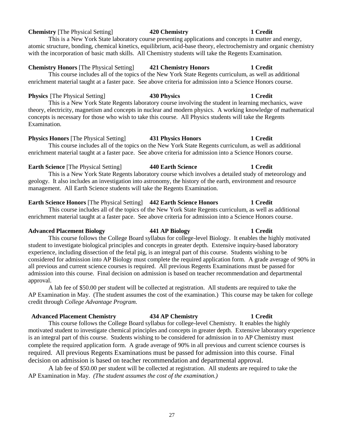### **Chemistry** [The Physical Setting] **420 Chemistry 1 Credit**

This is a New York State laboratory course presenting applications and concepts in matter and energy, atomic structure, bonding, chemical kinetics, equilibrium, acid-base theory, electrochemistry and organic chemistry with the incorporation of basic math skills. All Chemistry students will take the Regents Examination.

### **Chemistry Honors** [The Physical Setting] **421 Chemistry Honors 1 Credit**

This course includes all of the topics of the New York State Regents curriculum, as well as additional enrichment material taught at a faster pace. See above criteria for admission into a Science Honors course.

**Physics** [The Physical Setting] **430 Physics 1 Credit** This is a New York State Regents laboratory course involving the student in learning mechanics, wave theory, electricity, magnetism and concepts in nuclear and modern physics. A working knowledge of mathematical concepts is necessary for those who wish to take this course. All Physics students will take the Regents Examination.

### **Physics Honors** [The Physical Setting] **431 Physics Honors 1 Credit**

This course includes all of the topics on the New York State Regents curriculum, as well as additional enrichment material taught at a faster pace. See above criteria for admission into a Science Honors course.

**Earth Science [The Physical Setting] 440 Earth Science 1 Credit** This is a New York State Regents laboratory course which involves a detailed study of meteorology and geology. It also includes an investigation into astronomy, the history of the earth, environment and resource management. All Earth Science students will take the Regents Examination.

### **Earth Science Honors** [The Physical Setting] **442 Earth Science Honors 1 Credit**

This course includes all of the topics of the New York State Regents curriculum, as well as additional enrichment material taught at a faster pace. See above criteria for admission into a Science Honors course.

**Advanced Placement Biology 441 AP Biology 1 Credit** This course follows the College Board syllabus for college-level Biology. It enables the highly motivated student to investigate biological principles and concepts in greater depth. Extensive inquiry-based laboratory experience, including dissection of the fetal pig, is an integral part of this course. Students wishing to be considered for admission into AP Biology must complete the required application form. A grade average of 90% in all previous and current science courses is required. All previous Regents Examinations must be passed for admission into this course. Final decision on admission is based on teacher recommendation and departmental approval.

A lab fee of \$50.00 per student will be collected at registration. All students are required to take the AP Examination in May. (The student assumes the cost of the examination.) This course may be taken for college credit through *College Advantage Program.*

### **Advanced Placement Chemistry 434 AP Chemistry 1 Credit**

This course follows the College Board syllabus for college-level Chemistry. It enables the highly motivated student to investigate chemical principles and concepts in greater depth. Extensive laboratory experience is an integral part of this course. Students wishing to be considered for admission in to AP Chemistry must complete the required application form. A grade average of 90% in all previous and current science courses is required. All previous Regents Examinations must be passed for admission into this course. Final decision on admission is based on teacher recommendation and departmental approval.

A lab fee of \$50.00 per student will be collected at registration. All students are required to take the AP Examination in May. *(The student assumes the cost of the examination.)*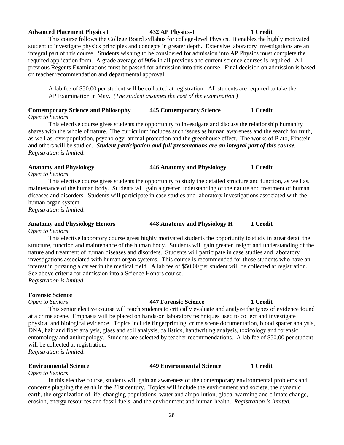### **Advanced Placement Physics I 432 AP Physics-I 1 Credit**

This course follows the College Board syllabus for college-level Physics. It enables the highly motivated student to investigate physics principles and concepts in greater depth. Extensive laboratory investigations are an integral part of this course. Students wishing to be considered for admission into AP Physics must complete the required application form. A grade average of 90% in all previous and current science courses is required. All previous Regents Examinations must be passed for admission into this course. Final decision on admission is based on teacher recommendation and departmental approval.

A lab fee of \$50.00 per student will be collected at registration. All students are required to take the AP Examination in May. *(The student assumes the cost of the examination.)*

### **Contemporary Science and Philosophy 445 Contemporary Science 1 Credit** *Open to Seniors*

This elective course gives students the opportunity to investigate and discuss the relationship humanity shares with the whole of nature. The curriculum includes such issues as human awareness and the search for truth, as well as, overpopulation, psychology, animal protection and the greenhouse effect. The works of Plato, Einstein and others will be studied. *Student participation and full presentations are an integral part of this course. Registration is limited.*

### **Anatomy and Physiology 446 Anatomy and Physiology 1 Credit**

*Open to Seniors*

This elective course gives students the opportunity to study the detailed structure and function, as well as, maintenance of the human body. Students will gain a greater understanding of the nature and treatment of human diseases and disorders. Students will participate in case studies and laboratory investigations associated with the human organ system.

*Registration is limited.*

### **Anatomy and Physiology Honors 448 Anatomy and Physiology H 1 Credit**

*Open to Seniors*

This elective laboratory course gives highly motivated students the opportunity to study in great detail the structure, function and maintenance of the human body. Students will gain greater insight and understanding of the nature and treatment of human diseases and disorders. Students will participate in case studies and laboratory investigations associated with human organ systems. This course is recommended for those students who have an interest in pursuing a career in the medical field. A lab fee of \$50.00 per student will be collected at registration. See above criteria for admission into a Science Honors course. *Registration is limited.*

**Forensic Science**

*Open to Seniors* **447 Forensic Science 1 Credit**

This senior elective course will teach students to critically evaluate and analyze the types of evidence found at a crime scene. Emphasis will be placed on hands-on laboratory techniques used to collect and investigate physical and biological evidence. Topics include fingerprinting, crime scene documentation, blood spatter analysis, DNA, hair and fiber analysis, glass and soil analysis, ballistics, handwriting analysis, toxicology and forensic entomology and anthropology. Students are selected by teacher recommendations. A lab fee of \$50.00 per student will be collected at registration.

*Registration is limited.*

### **Environmental Science 449 Environmental Science 1 Credit**

*Open to Seniors*

In this elective course, students will gain an awareness of the contemporary environmental problems and concerns plaguing the earth in the 21st century. Topics will include the environment and society, the dynamic earth, the organization of life, changing populations, water and air pollution, global warming and climate change, erosion, energy resources and fossil fuels, and the environment and human health. *Registration is limited.*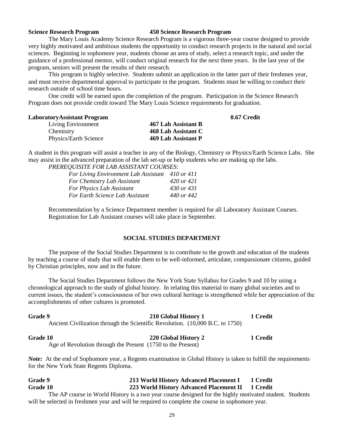### **Science Research Program 450 Science Research Program**

The Mary Louis Academy Science Research Program is a vigorous three-year course designed to provide very highly motivated and ambitious students the opportunity to conduct research projects in the natural and social sciences. Beginning in sophomore year, students choose an area of study, select a research topic, and under the guidance of a professional mentor, will conduct original research for the next three years. In the last year of the program, seniors will present the results of their research.

This program is highly selective. Students submit an application in the latter part of their freshmen year, and must receive departmental approval to participate in the program. Students must be willing to conduct their research outside of school time hours.

One credit will be earned upon the completion of the program. Participation in the Science Research Program does not provide credit toward The Mary Louis Science requirements for graduation.

### **LaboratoryAssistant Program 0.67 Credit**

| 467 Lab Assistant B |
|---------------------|
| 468 Lab Assistant C |
| 469 Lab Assistant P |
|                     |

A student in this program will assist a teacher in any of the Biology, Chemistry or Physics/Earth Science Labs. She may assist in the advanced preparation of the lab set-up or help students who are making up the labs.

*PREREQUISITE FOR LAB ASSISTANT COURSES:*

| For Living Environment Lab Assistant 410 or 411 |                       |
|-------------------------------------------------|-----------------------|
| For Chemistry Lab Assistant                     | $420 \text{ or } 421$ |
| For Physics Lab Assistant                       | 430 or 431            |
| For Earth Science Lab Assistant                 | 440 or 442            |

Recommendation by a Science Department member is required for all Laboratory Assistant Courses. Registration for Lab Assistant courses will take place in September.

### **SOCIAL STUDIES DEPARTMENT**

The purpose of the Social Studies Department is to contribute to the growth and education of the students by teaching a course of study that will enable them to be well-informed, articulate, compassionate citizens, guided by Christian principles, now and in the future.

The Social Studies Department follows the New York State Syllabus for Grades 9 and 10 by using a chronological approach to the study of global history. In relating this material to many global societies and to current issues, the student's consciousness of her own cultural heritage is strengthened while her appreciation of the accomplishments of other cultures is promoted.

| Grade 9         | 210 Global History 1<br>Ancient Civilization through the Scientific Revolution. (10,000 B.C. to 1750) | 1 Credit |  |
|-----------------|-------------------------------------------------------------------------------------------------------|----------|--|
| <b>Grade 10</b> | 220 Global History 2                                                                                  | 1 Credit |  |

Age of Revolution through the Present (1750 to the Present)

*Note:* At the end of Sophomore year, a Regents examination in Global History is taken to fulfill the requirements for the New York State Regents Diploma.

| Grade 9  |  | 213 World History Advanced Placement I                                                                                                                                                                                                                                                                                                                                                                                                                       | 1 Credit |
|----------|--|--------------------------------------------------------------------------------------------------------------------------------------------------------------------------------------------------------------------------------------------------------------------------------------------------------------------------------------------------------------------------------------------------------------------------------------------------------------|----------|
| Grade 10 |  | 223 World History Advanced Placement II 1 Credit                                                                                                                                                                                                                                                                                                                                                                                                             |          |
|          |  | $\mathcal{A} = \mathcal{A} + \mathcal{A} + \mathcal{A} + \mathcal{A} + \mathcal{A} + \mathcal{A} + \mathcal{A} + \mathcal{A} + \mathcal{A} + \mathcal{A} + \mathcal{A} + \mathcal{A} + \mathcal{A} + \mathcal{A} + \mathcal{A} + \mathcal{A} + \mathcal{A} + \mathcal{A} + \mathcal{A} + \mathcal{A} + \mathcal{A} + \mathcal{A} + \mathcal{A} + \mathcal{A} + \mathcal{A} + \mathcal{A} + \mathcal{A} + \mathcal{A} + \mathcal{A} + \mathcal{A} + \mathcal$ |          |

The AP course in World History is a two year course designed for the highly motivated student. Students will be selected in freshmen year and will be required to complete the course in sophomore year.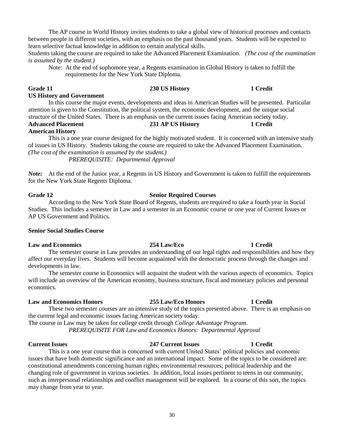The AP course in World History invites students to take a global view of historical processes and contacts between people in different societies, with an emphasis on the past thousand years. Students will be expected to learn selective factual knowledge in addition to certain analytical skills.

Students taking the course are required to take the Advanced Placement Examination. *(The cost of the examination is assumed by the student.)*

Note: At the end of sophomore year, a Regents examination in Global History is taken to fulfill the requirements for the New York State Diploma.

### **Grade 11 230 US History 1 Credit**

**US History and Government**

In this course the major events, developments and ideas in American Studies will be presented. Particular attention is given to the Constitution, the political system, the economic development, and the unique social structure of the United States. There is an emphasis on the current issues facing American society today.

### **Advanced Placement 231 AP US History 1 Credit American History**

This is a one year course designed for the highly motivated student. It is concerned with an intensive study of issues in US History. Students taking the course are required to take the Advanced Placement Examination. *(The cost of the examination is assumed by the student.) PREREQUISITE: Departmental Approval*

*Note:* At the end of the Junior year, a Regents in US History and Government is taken to fulfill the requirements for the New York State Regents Diploma.

### **Grade 12 Senior Required Courses**

According to the New York State Board of Regents, students are required to take a fourth year in Social Studies. This includes a semester in Law and a semester in an Economic course or one year of Current Issues or AP US Government and Politics.

### **Senior Social Studies Course**

### **Law and Economics 254 Law/Eco 1 Credit**

The semester course in Law provides an understanding of our legal rights and responsibilities and how they affect our everyday lives. Students will become acquainted with the democratic process through the changes and developments in law.

The semester course in Economics will acquaint the student with the various aspects of economics. Topics will include an overview of the American economy, business structure, fiscal and monetary policies and personal economics.

### **Law and Economics Honors 255 Law/Eco Honors 1 Credit**

These two semester courses are an intensive study of the topics presented above. There is an emphasis on the current legal and economic issues facing American society today.

The course in Law may be taken for college credit through *College Advantage Program.*

*PREREQUISITE FOR Law and Economics Honors: Departmental Approval* 

### **Current Issues 247 Current Issues 1 Credit**

### This is a one year course that is concerned with current United States' political policies and economic issues that have both domestic significance and an international impact. Some of the topics to be considered are: constitutional amendments concerning human rights; environmental resources; political leadership and the changing role of government in various societies. In addition, local issues pertinent to teens in our community, such as interpersonal relationships and conflict management will be explored. In a course of this sort, the topics may change from year to year.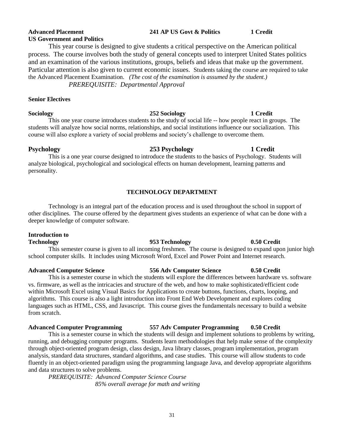### **Psychology 253 Psychology 1 Credit** This is a one year course designed to introduce the students to the basics of Psychology. Students will analyze biological, psychological and sociological effects on human development, learning patterns and personality.

### **TECHNOLOGY DEPARTMENT**

Technology is an integral part of the education process and is used throughout the school in support of other disciplines. The course offered by the department gives students an experience of what can be done with a deeper knowledge of computer software.

### **Introduction to**

**Technology 953 Technology 0.50 Credit** This semester course is given to all incoming freshmen. The course is designed to expand upon junior high school computer skills. It includes using Microsoft Word, Excel and Power Point and Internet research.

### **Advanced Computer Science 556 Adv Computer Science 0.50 Credit**

This is a semester course in which the students will explore the differences between hardware vs. software vs. firmware, as well as the intricacies and structure of the web, and how to make sophisticated/efficient code within Microsoft Excel using Visual Basics for Applications to create buttons, functions, charts, looping, and algorithms. This course is also a light introduction into Front End Web Development and explores coding languages such as HTML, CSS, and Javascript. This course gives the fundamentals necessary to build a website from scratch.

### **Advanced Computer Programming 557 Adv Computer Programming 0.50 Credit**

This is a semester course in which the students will design and implement solutions to problems by writing, running, and debugging computer programs. Students learn methodologies that help make sense of the complexity through object-oriented program design, class design, Java library classes, program implementation, program analysis, standard data structures, standard algorithms, and case studies. This course will allow students to code fluently in an object-oriented paradigm using the programming language Java, and develop appropriate algorithms and data structures to solve problems.

*PREREQUISITE: Advanced Computer Science Course 85% overall average for math and writing*

# **US Government and Politics**

### This year course is designed to give students a critical perspective on the American political process. The course involves both the study of general concepts used to interpret United States politics and an examination of the various institutions, groups, beliefs and ideas that make up the government. Particular attention is also given to current economic issues. Students taking the course are required to take the Advanced Placement Examination. *(The cost of the examination is assumed by the student.) PREREQUISITE: Departmental Approval*

### **Senior Electives**

### **Sociology 252 Sociology 1 Credit**

This one year course introduces students to the study of social life -- how people react in groups. The students will analyze how social norms, relationships, and social institutions influence our socialization. This course will also explore a variety of social problems and society's challenge to overcome them.

### **Advanced Placement 241 AP US Govt & Politics 1 Credit**